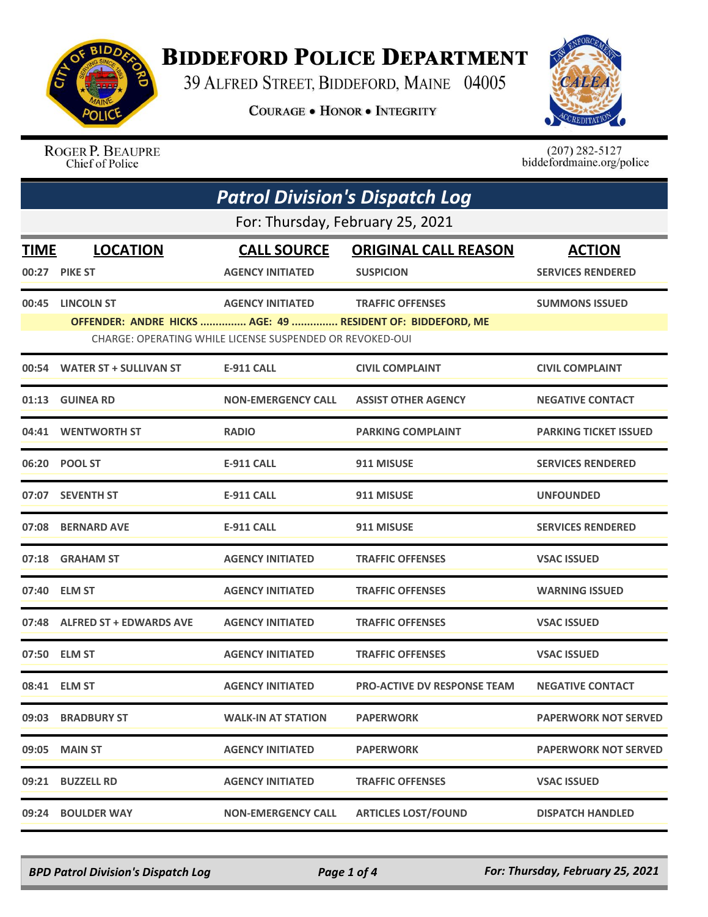

## **BIDDEFORD POLICE DEPARTMENT**

39 ALFRED STREET, BIDDEFORD, MAINE 04005

**COURAGE . HONOR . INTEGRITY** 



ROGER P. BEAUPRE Chief of Police

 $(207)$  282-5127<br>biddefordmaine.org/police

|             | <b>Patrol Division's Dispatch Log</b> |                                                          |                                                            |                              |  |  |
|-------------|---------------------------------------|----------------------------------------------------------|------------------------------------------------------------|------------------------------|--|--|
|             | For: Thursday, February 25, 2021      |                                                          |                                                            |                              |  |  |
| <b>TIME</b> | <b>LOCATION</b>                       | <b>CALL SOURCE</b>                                       | <b>ORIGINAL CALL REASON</b>                                | <b>ACTION</b>                |  |  |
| 00:27       | <b>PIKE ST</b>                        | <b>AGENCY INITIATED</b>                                  | <b>SUSPICION</b>                                           | <b>SERVICES RENDERED</b>     |  |  |
|             | 00:45 LINCOLN ST                      | <b>AGENCY INITIATED</b>                                  | <b>TRAFFIC OFFENSES</b>                                    | <b>SUMMONS ISSUED</b>        |  |  |
|             |                                       | CHARGE: OPERATING WHILE LICENSE SUSPENDED OR REVOKED-OUI | OFFENDER: ANDRE HICKS  AGE: 49  RESIDENT OF: BIDDEFORD, ME |                              |  |  |
|             | 00:54 WATER ST + SULLIVAN ST          | <b>E-911 CALL</b>                                        | <b>CIVIL COMPLAINT</b>                                     | <b>CIVIL COMPLAINT</b>       |  |  |
|             | 01:13 GUINEA RD                       | <b>NON-EMERGENCY CALL</b>                                | <b>ASSIST OTHER AGENCY</b>                                 | <b>NEGATIVE CONTACT</b>      |  |  |
| 04:41       | <b>WENTWORTH ST</b>                   | <b>RADIO</b>                                             | <b>PARKING COMPLAINT</b>                                   | <b>PARKING TICKET ISSUED</b> |  |  |
|             | 06:20 POOL ST                         | <b>E-911 CALL</b>                                        | 911 MISUSE                                                 | <b>SERVICES RENDERED</b>     |  |  |
|             | 07:07 SEVENTH ST                      | <b>E-911 CALL</b>                                        | 911 MISUSE                                                 | <b>UNFOUNDED</b>             |  |  |
| 07:08       | <b>BERNARD AVE</b>                    | <b>E-911 CALL</b>                                        | 911 MISUSE                                                 | <b>SERVICES RENDERED</b>     |  |  |
|             | 07:18 GRAHAM ST                       | <b>AGENCY INITIATED</b>                                  | <b>TRAFFIC OFFENSES</b>                                    | <b>VSAC ISSUED</b>           |  |  |
|             | 07:40 ELM ST                          | <b>AGENCY INITIATED</b>                                  | <b>TRAFFIC OFFENSES</b>                                    | <b>WARNING ISSUED</b>        |  |  |
|             | 07:48 ALFRED ST + EDWARDS AVE         | <b>AGENCY INITIATED</b>                                  | <b>TRAFFIC OFFENSES</b>                                    | <b>VSAC ISSUED</b>           |  |  |
| 07:50       | <b>ELM ST</b>                         | <b>AGENCY INITIATED</b>                                  | <b>TRAFFIC OFFENSES</b>                                    | <b>VSAC ISSUED</b>           |  |  |
|             | 08:41 ELM ST                          | <b>AGENCY INITIATED</b>                                  | <b>PRO-ACTIVE DV RESPONSE TEAM</b>                         | <b>NEGATIVE CONTACT</b>      |  |  |
| 09:03       | <b>BRADBURY ST</b>                    | <b>WALK-IN AT STATION</b>                                | <b>PAPERWORK</b>                                           | <b>PAPERWORK NOT SERVED</b>  |  |  |
| 09:05       | <b>MAIN ST</b>                        | <b>AGENCY INITIATED</b>                                  | <b>PAPERWORK</b>                                           | <b>PAPERWORK NOT SERVED</b>  |  |  |
| 09:21       | <b>BUZZELL RD</b>                     | <b>AGENCY INITIATED</b>                                  | <b>TRAFFIC OFFENSES</b>                                    | <b>VSAC ISSUED</b>           |  |  |
| 09:24       | <b>BOULDER WAY</b>                    | <b>NON-EMERGENCY CALL</b>                                | <b>ARTICLES LOST/FOUND</b>                                 | <b>DISPATCH HANDLED</b>      |  |  |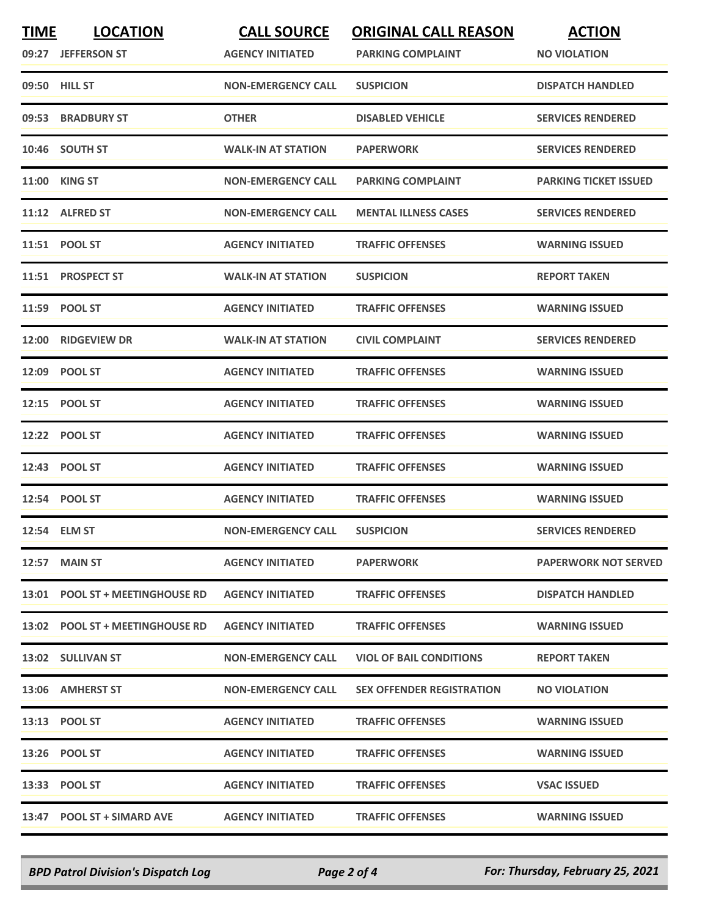| <b>TIME</b> | <b>LOCATION</b><br>09:27 JEFFERSON ST | <b>CALL SOURCE</b><br><b>AGENCY INITIATED</b> | <b>ORIGINAL CALL REASON</b><br><b>PARKING COMPLAINT</b> | <b>ACTION</b><br><b>NO VIOLATION</b> |
|-------------|---------------------------------------|-----------------------------------------------|---------------------------------------------------------|--------------------------------------|
|             | 09:50 HILL ST                         | <b>NON-EMERGENCY CALL</b>                     | <b>SUSPICION</b>                                        | <b>DISPATCH HANDLED</b>              |
| 09:53       | <b>BRADBURY ST</b>                    | <b>OTHER</b>                                  | <b>DISABLED VEHICLE</b>                                 | <b>SERVICES RENDERED</b>             |
|             | 10:46 SOUTH ST                        | <b>WALK-IN AT STATION</b>                     | <b>PAPERWORK</b>                                        | <b>SERVICES RENDERED</b>             |
|             | <b>11:00 KING ST</b>                  | <b>NON-EMERGENCY CALL</b>                     | <b>PARKING COMPLAINT</b>                                | <b>PARKING TICKET ISSUED</b>         |
|             | 11:12 ALFRED ST                       | <b>NON-EMERGENCY CALL</b>                     | <b>MENTAL ILLNESS CASES</b>                             | <b>SERVICES RENDERED</b>             |
| 11:51       | <b>POOL ST</b>                        | <b>AGENCY INITIATED</b>                       | <b>TRAFFIC OFFENSES</b>                                 | <b>WARNING ISSUED</b>                |
|             | 11:51 PROSPECT ST                     | <b>WALK-IN AT STATION</b>                     | <b>SUSPICION</b>                                        | <b>REPORT TAKEN</b>                  |
|             | 11:59 POOL ST                         | <b>AGENCY INITIATED</b>                       | <b>TRAFFIC OFFENSES</b>                                 | <b>WARNING ISSUED</b>                |
| 12:00       | <b>RIDGEVIEW DR</b>                   | <b>WALK-IN AT STATION</b>                     | <b>CIVIL COMPLAINT</b>                                  | <b>SERVICES RENDERED</b>             |
|             | 12:09 POOL ST                         | <b>AGENCY INITIATED</b>                       | <b>TRAFFIC OFFENSES</b>                                 | <b>WARNING ISSUED</b>                |
|             | 12:15 POOL ST                         | <b>AGENCY INITIATED</b>                       | <b>TRAFFIC OFFENSES</b>                                 | <b>WARNING ISSUED</b>                |
| 12:22       | <b>POOL ST</b>                        | <b>AGENCY INITIATED</b>                       | <b>TRAFFIC OFFENSES</b>                                 | <b>WARNING ISSUED</b>                |
|             | 12:43 POOL ST                         | <b>AGENCY INITIATED</b>                       | <b>TRAFFIC OFFENSES</b>                                 | <b>WARNING ISSUED</b>                |
|             | 12:54 POOL ST                         | <b>AGENCY INITIATED</b>                       | <b>TRAFFIC OFFENSES</b>                                 | <b>WARNING ISSUED</b>                |
|             | 12:54 ELM ST                          | <b>NON-EMERGENCY CALL</b>                     | <b>SUSPICION</b>                                        | <b>SERVICES RENDERED</b>             |
|             | 12:57 MAIN ST                         | <b>AGENCY INITIATED</b>                       | <b>PAPERWORK</b>                                        | <b>PAPERWORK NOT SERVED</b>          |
|             | 13:01 POOL ST + MEETINGHOUSE RD       | <b>AGENCY INITIATED</b>                       | <b>TRAFFIC OFFENSES</b>                                 | <b>DISPATCH HANDLED</b>              |
|             | 13:02 POOL ST + MEETINGHOUSE RD       | <b>AGENCY INITIATED</b>                       | <b>TRAFFIC OFFENSES</b>                                 | <b>WARNING ISSUED</b>                |
|             | 13:02 SULLIVAN ST                     | <b>NON-EMERGENCY CALL</b>                     | <b>VIOL OF BAIL CONDITIONS</b>                          | <b>REPORT TAKEN</b>                  |
|             | 13:06 AMHERST ST                      | <b>NON-EMERGENCY CALL</b>                     | <b>SEX OFFENDER REGISTRATION</b>                        | <b>NO VIOLATION</b>                  |
|             | 13:13 POOL ST                         | <b>AGENCY INITIATED</b>                       | <b>TRAFFIC OFFENSES</b>                                 | <b>WARNING ISSUED</b>                |
|             | 13:26 POOL ST                         | <b>AGENCY INITIATED</b>                       | <b>TRAFFIC OFFENSES</b>                                 | <b>WARNING ISSUED</b>                |
|             | 13:33 POOL ST                         | <b>AGENCY INITIATED</b>                       | <b>TRAFFIC OFFENSES</b>                                 | <b>VSAC ISSUED</b>                   |
|             | 13:47 POOL ST + SIMARD AVE            | <b>AGENCY INITIATED</b>                       | <b>TRAFFIC OFFENSES</b>                                 | <b>WARNING ISSUED</b>                |

*BPD Patrol Division's Dispatch Log Page 2 of 4 For: Thursday, February 25, 2021*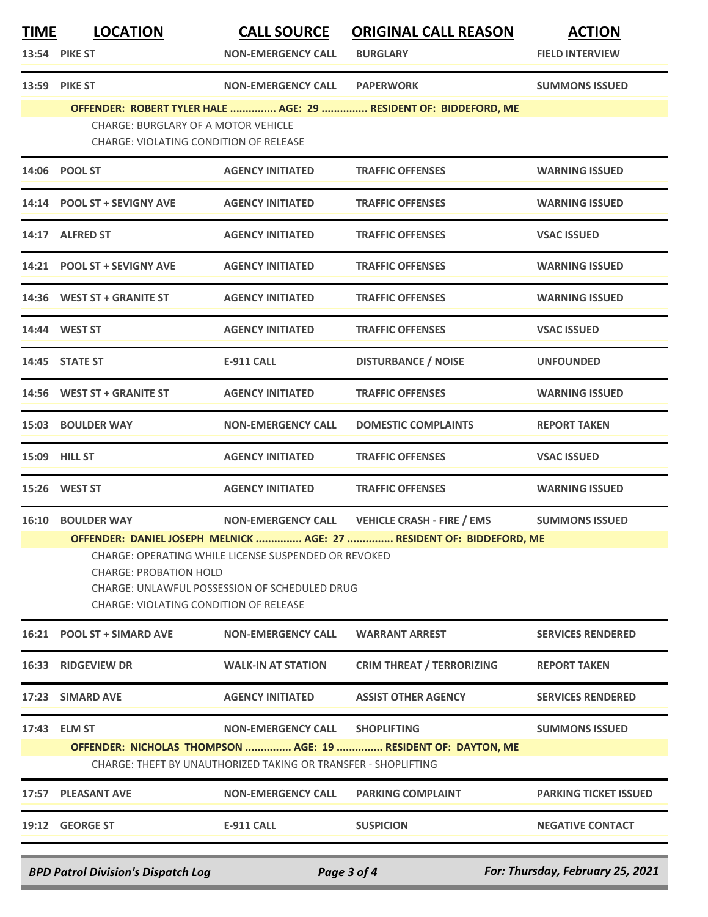| <b>TIME</b>                                                                                                                                                                                                                                                     | <b>LOCATION</b><br>13:54 PIKE ST                                                     | <b>CALL SOURCE</b><br><b>NON-EMERGENCY CALL</b> | <b>ORIGINAL CALL REASON</b><br><b>BURGLARY</b> | <b>ACTION</b><br><b>FIELD INTERVIEW</b> |  |
|-----------------------------------------------------------------------------------------------------------------------------------------------------------------------------------------------------------------------------------------------------------------|--------------------------------------------------------------------------------------|-------------------------------------------------|------------------------------------------------|-----------------------------------------|--|
|                                                                                                                                                                                                                                                                 | 13:59 PIKE ST                                                                        | <b>NON-EMERGENCY CALL</b>                       | <b>PAPERWORK</b>                               | <b>SUMMONS ISSUED</b>                   |  |
|                                                                                                                                                                                                                                                                 | OFFENDER: ROBERT TYLER HALE  AGE: 29  RESIDENT OF: BIDDEFORD, ME                     |                                                 |                                                |                                         |  |
|                                                                                                                                                                                                                                                                 | <b>CHARGE: BURGLARY OF A MOTOR VEHICLE</b><br>CHARGE: VIOLATING CONDITION OF RELEASE |                                                 |                                                |                                         |  |
|                                                                                                                                                                                                                                                                 | 14:06 POOL ST                                                                        | <b>AGENCY INITIATED</b>                         | <b>TRAFFIC OFFENSES</b>                        | <b>WARNING ISSUED</b>                   |  |
|                                                                                                                                                                                                                                                                 | 14:14 POOL ST + SEVIGNY AVE                                                          | <b>AGENCY INITIATED</b>                         | <b>TRAFFIC OFFENSES</b>                        | <b>WARNING ISSUED</b>                   |  |
|                                                                                                                                                                                                                                                                 | 14:17 ALFRED ST                                                                      | <b>AGENCY INITIATED</b>                         | <b>TRAFFIC OFFENSES</b>                        | <b>VSAC ISSUED</b>                      |  |
|                                                                                                                                                                                                                                                                 | 14:21 POOL ST + SEVIGNY AVE                                                          | <b>AGENCY INITIATED</b>                         | <b>TRAFFIC OFFENSES</b>                        | <b>WARNING ISSUED</b>                   |  |
|                                                                                                                                                                                                                                                                 | 14:36 WEST ST + GRANITE ST                                                           | <b>AGENCY INITIATED</b>                         | <b>TRAFFIC OFFENSES</b>                        | <b>WARNING ISSUED</b>                   |  |
|                                                                                                                                                                                                                                                                 | 14:44 WEST ST                                                                        | <b>AGENCY INITIATED</b>                         | <b>TRAFFIC OFFENSES</b>                        | <b>VSAC ISSUED</b>                      |  |
|                                                                                                                                                                                                                                                                 | 14:45 STATE ST                                                                       | <b>E-911 CALL</b>                               | <b>DISTURBANCE / NOISE</b>                     | <b>UNFOUNDED</b>                        |  |
|                                                                                                                                                                                                                                                                 | 14:56 WEST ST + GRANITE ST                                                           | <b>AGENCY INITIATED</b>                         | <b>TRAFFIC OFFENSES</b>                        | <b>WARNING ISSUED</b>                   |  |
|                                                                                                                                                                                                                                                                 | 15:03 BOULDER WAY                                                                    | <b>NON-EMERGENCY CALL</b>                       | <b>DOMESTIC COMPLAINTS</b>                     | <b>REPORT TAKEN</b>                     |  |
|                                                                                                                                                                                                                                                                 | 15:09 HILL ST                                                                        | <b>AGENCY INITIATED</b>                         | <b>TRAFFIC OFFENSES</b>                        | <b>VSAC ISSUED</b>                      |  |
|                                                                                                                                                                                                                                                                 | 15:26 WEST ST                                                                        | <b>AGENCY INITIATED</b>                         | <b>TRAFFIC OFFENSES</b>                        | <b>WARNING ISSUED</b>                   |  |
|                                                                                                                                                                                                                                                                 | <b>16:10 BOULDER WAY</b>                                                             | <b>NON-EMERGENCY CALL</b>                       | <b>VEHICLE CRASH - FIRE / EMS</b>              | <b>SUMMONS ISSUED</b>                   |  |
| OFFENDER: DANIEL JOSEPH MELNICK  AGE: 27  RESIDENT OF: BIDDEFORD, ME<br>CHARGE: OPERATING WHILE LICENSE SUSPENDED OR REVOKED<br><b>CHARGE: PROBATION HOLD</b><br><b>CHARGE: UNLAWFUL POSSESSION OF SCHEDULED DRUG</b><br>CHARGE: VIOLATING CONDITION OF RELEASE |                                                                                      |                                                 |                                                |                                         |  |
|                                                                                                                                                                                                                                                                 | 16:21 POOL ST + SIMARD AVE                                                           | <b>NON-EMERGENCY CALL</b>                       | <b>WARRANT ARREST</b>                          | <b>SERVICES RENDERED</b>                |  |
|                                                                                                                                                                                                                                                                 | 16:33 RIDGEVIEW DR                                                                   | <b>WALK-IN AT STATION</b>                       | <b>CRIM THREAT / TERRORIZING</b>               | <b>REPORT TAKEN</b>                     |  |
|                                                                                                                                                                                                                                                                 | 17:23 SIMARD AVE                                                                     | <b>AGENCY INITIATED</b>                         | <b>ASSIST OTHER AGENCY</b>                     | <b>SERVICES RENDERED</b>                |  |
|                                                                                                                                                                                                                                                                 | 17:43 ELM ST                                                                         | <b>NON-EMERGENCY CALL</b>                       | <b>SHOPLIFTING</b>                             | <b>SUMMONS ISSUED</b>                   |  |
| OFFENDER: NICHOLAS THOMPSON  AGE: 19  RESIDENT OF: DAYTON, ME<br>CHARGE: THEFT BY UNAUTHORIZED TAKING OR TRANSFER - SHOPLIFTING                                                                                                                                 |                                                                                      |                                                 |                                                |                                         |  |
|                                                                                                                                                                                                                                                                 | 17:57 PLEASANT AVE                                                                   | <b>NON-EMERGENCY CALL</b>                       | <b>PARKING COMPLAINT</b>                       | <b>PARKING TICKET ISSUED</b>            |  |
|                                                                                                                                                                                                                                                                 | 19:12 GEORGE ST                                                                      | <b>E-911 CALL</b>                               | <b>SUSPICION</b>                               | <b>NEGATIVE CONTACT</b>                 |  |
|                                                                                                                                                                                                                                                                 | <b>BPD Patrol Division's Dispatch Log</b>                                            |                                                 | Page 3 of 4                                    | For: Thursday, February 25, 2021        |  |